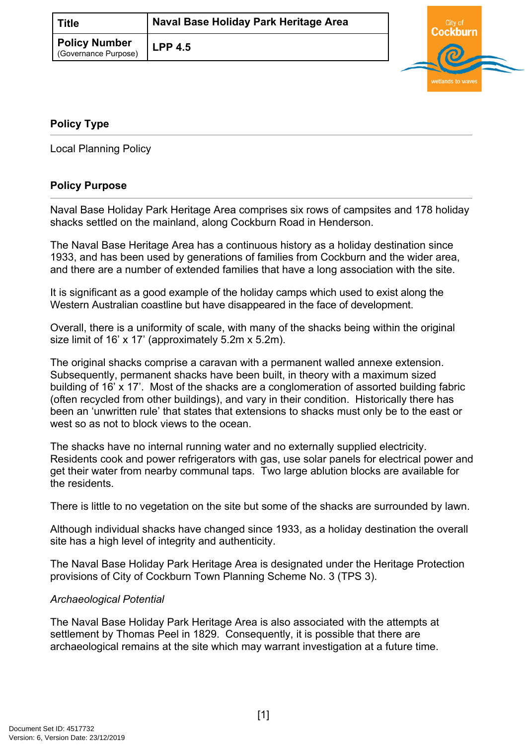| Title                                        | Naval Base Holiday Park Heritage Area |  |
|----------------------------------------------|---------------------------------------|--|
| <b>Policy Number</b><br>(Governance Purpose) | <b>LPP 4.5</b>                        |  |



# <span id="page-0-0"></span>**[Policy Type](#page-0-0)**

Local Planning Policy

# **Policy Purpose**

Naval Base Holiday Park Heritage Area comprises six rows of campsites and 178 holiday shacks settled on the mainland, along Cockburn Road in Henderson.

The Naval Base Heritage Area has a continuous history as a holiday destination since 1933, and has been used by generations of families from Cockburn and the wider area, and there are a number of extended families that have a long association with the site.

It is significant as a good example of the holiday camps which used to exist along the Western Australian coastline but have disappeared in the face of development.

Overall, there is a uniformity of scale, with many of the shacks being within the original size limit of 16' x 17' (approximately 5.2m x 5.2m).

The original shacks comprise a caravan with a permanent walled annexe extension. Subsequently, permanent shacks have been built, in theory with a maximum sized building of 16' x 17'. Most of the shacks are a conglomeration of assorted building fabric (often recycled from other buildings), and vary in their condition. Historically there has been an 'unwritten rule' that states that extensions to shacks must only be to the east or west so as not to block views to the ocean.

The shacks have no internal running water and no externally supplied electricity. Residents cook and power refrigerators with gas, use solar panels for electrical power and get their water from nearby communal taps. Two large ablution blocks are available for the residents.

There is little to no vegetation on the site but some of the shacks are surrounded by lawn.

Although individual shacks have changed since 1933, as a holiday destination the overall site has a high level of integrity and authenticity.

The Naval Base Holiday Park Heritage Area is designated under the Heritage Protection provisions of City of Cockburn Town Planning Scheme No. 3 (TPS 3).

## *Archaeological Potential*

The Naval Base Holiday Park Heritage Area is also associated with the attempts at settlement by Thomas Peel in 1829. Consequently, it is possible that there are archaeological remains at the site which may warrant investigation at a future time.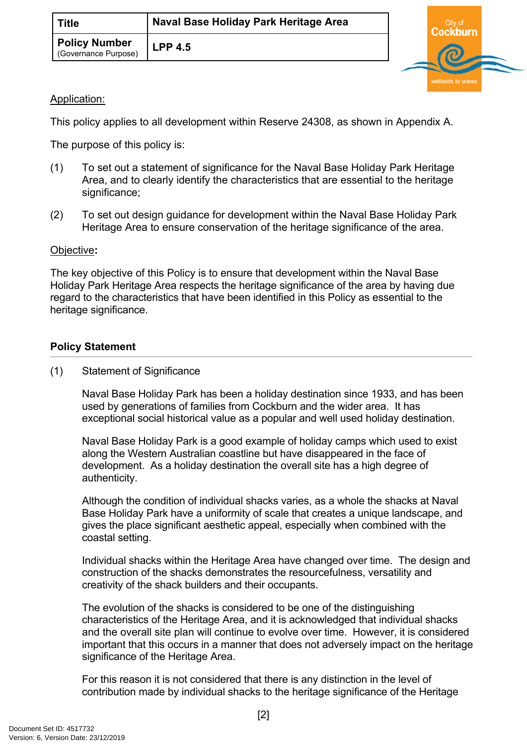| <b>Title</b>                          | Naval Base Holiday Park Heritage Area |  |
|---------------------------------------|---------------------------------------|--|
| Policy Number<br>(Governance Purpose) | <b>LPP 4.5</b>                        |  |



## Application:

This policy applies to all development within Reserve 24308, as shown in Appendix A.

The purpose of this policy is:

- (1) To set out a statement of significance for the Naval Base Holiday Park Heritage Area, and to clearly identify the characteristics that are essential to the heritage significance;
- (2) To set out design guidance for development within the Naval Base Holiday Park Heritage Area to ensure conservation of the heritage significance of the area.

#### Objective**:**

The key objective of this Policy is to ensure that development within the Naval Base Holiday Park Heritage Area respects the heritage significance of the area by having due regard to the characteristics that have been identified in this Policy as essential to the heritage significance.

## **Policy Statement**

(1) Statement of Significance

Naval Base Holiday Park has been a holiday destination since 1933, and has been used by generations of families from Cockburn and the wider area. It has exceptional social historical value as a popular and well used holiday destination.

Naval Base Holiday Park is a good example of holiday camps which used to exist along the Western Australian coastline but have disappeared in the face of development. As a holiday destination the overall site has a high degree of authenticity.

Although the condition of individual shacks varies, as a whole the shacks at Naval Base Holiday Park have a uniformity of scale that creates a unique landscape, and gives the place significant aesthetic appeal, especially when combined with the coastal setting.

Individual shacks within the Heritage Area have changed over time. The design and construction of the shacks demonstrates the resourcefulness, versatility and creativity of the shack builders and their occupants.

The evolution of the shacks is considered to be one of the distinguishing characteristics of the Heritage Area, and it is acknowledged that individual shacks and the overall site plan will continue to evolve over time. However, it is considered important that this occurs in a manner that does not adversely impact on the heritage significance of the Heritage Area.

For this reason it is not considered that there is any distinction in the level of contribution made by individual shacks to the heritage significance of the Heritage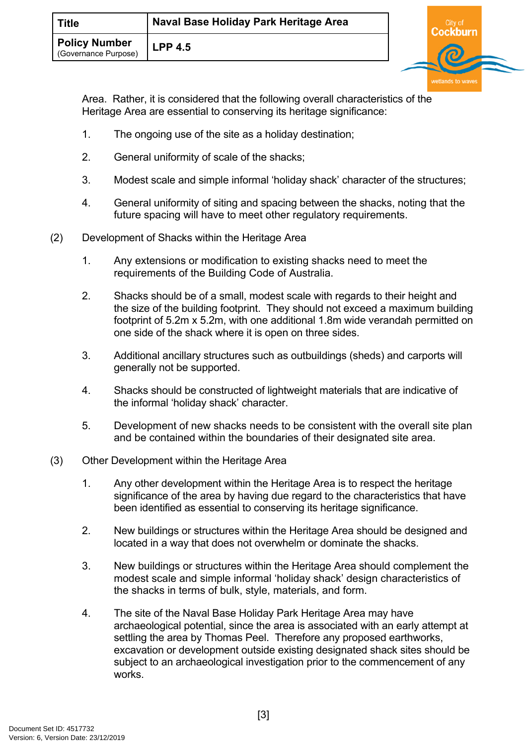| Title                                        | Naval Base Holiday Park Heritage Area |  |
|----------------------------------------------|---------------------------------------|--|
| <b>Policy Number</b><br>(Governance Purpose) | <b>LPP 4.5</b>                        |  |

Area. Rather, it is considered that the following overall characteristics of the Heritage Area are essential to conserving its heritage significance:

- 1. The ongoing use of the site as a holiday destination;
- 2. General uniformity of scale of the shacks;
- 3. Modest scale and simple informal 'holiday shack' character of the structures;
- 4. General uniformity of siting and spacing between the shacks, noting that the future spacing will have to meet other regulatory requirements.
- (2) Development of Shacks within the Heritage Area
	- 1. Any extensions or modification to existing shacks need to meet the requirements of the Building Code of Australia.
	- 2. Shacks should be of a small, modest scale with regards to their height and the size of the building footprint. They should not exceed a maximum building footprint of 5.2m x 5.2m, with one additional 1.8m wide verandah permitted on one side of the shack where it is open on three sides.
	- 3. Additional ancillary structures such as outbuildings (sheds) and carports will generally not be supported.
	- 4. Shacks should be constructed of lightweight materials that are indicative of the informal 'holiday shack' character.
	- 5. Development of new shacks needs to be consistent with the overall site plan and be contained within the boundaries of their designated site area.
- (3) Other Development within the Heritage Area
	- 1. Any other development within the Heritage Area is to respect the heritage significance of the area by having due regard to the characteristics that have been identified as essential to conserving its heritage significance.
	- 2. New buildings or structures within the Heritage Area should be designed and located in a way that does not overwhelm or dominate the shacks.
	- 3. New buildings or structures within the Heritage Area should complement the modest scale and simple informal 'holiday shack' design characteristics of the shacks in terms of bulk, style, materials, and form.
	- 4. The site of the Naval Base Holiday Park Heritage Area may have archaeological potential, since the area is associated with an early attempt at settling the area by Thomas Peel. Therefore any proposed earthworks, excavation or development outside existing designated shack sites should be subject to an archaeological investigation prior to the commencement of any works.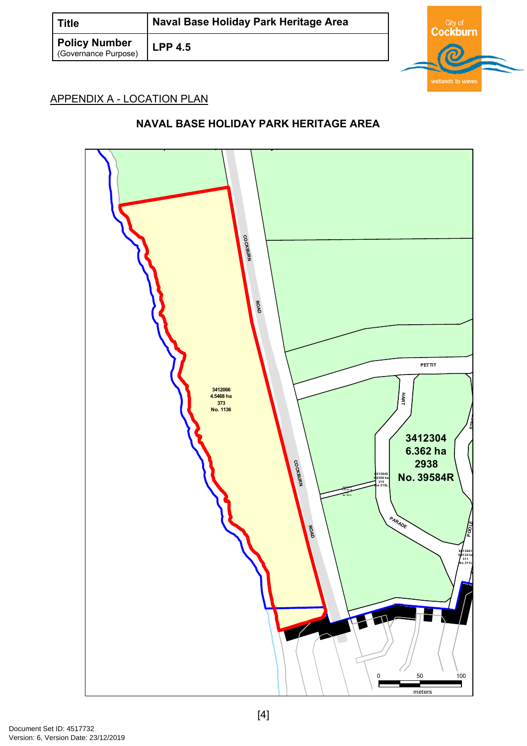| <b>Title</b>                                 | Naval Base Holiday Park Heritage Area |  |  |
|----------------------------------------------|---------------------------------------|--|--|
| <b>Policy Number</b><br>(Governance Purpose) | <b>LPP 4.5</b>                        |  |  |

# APPENDIX A - LOCATION PLAN